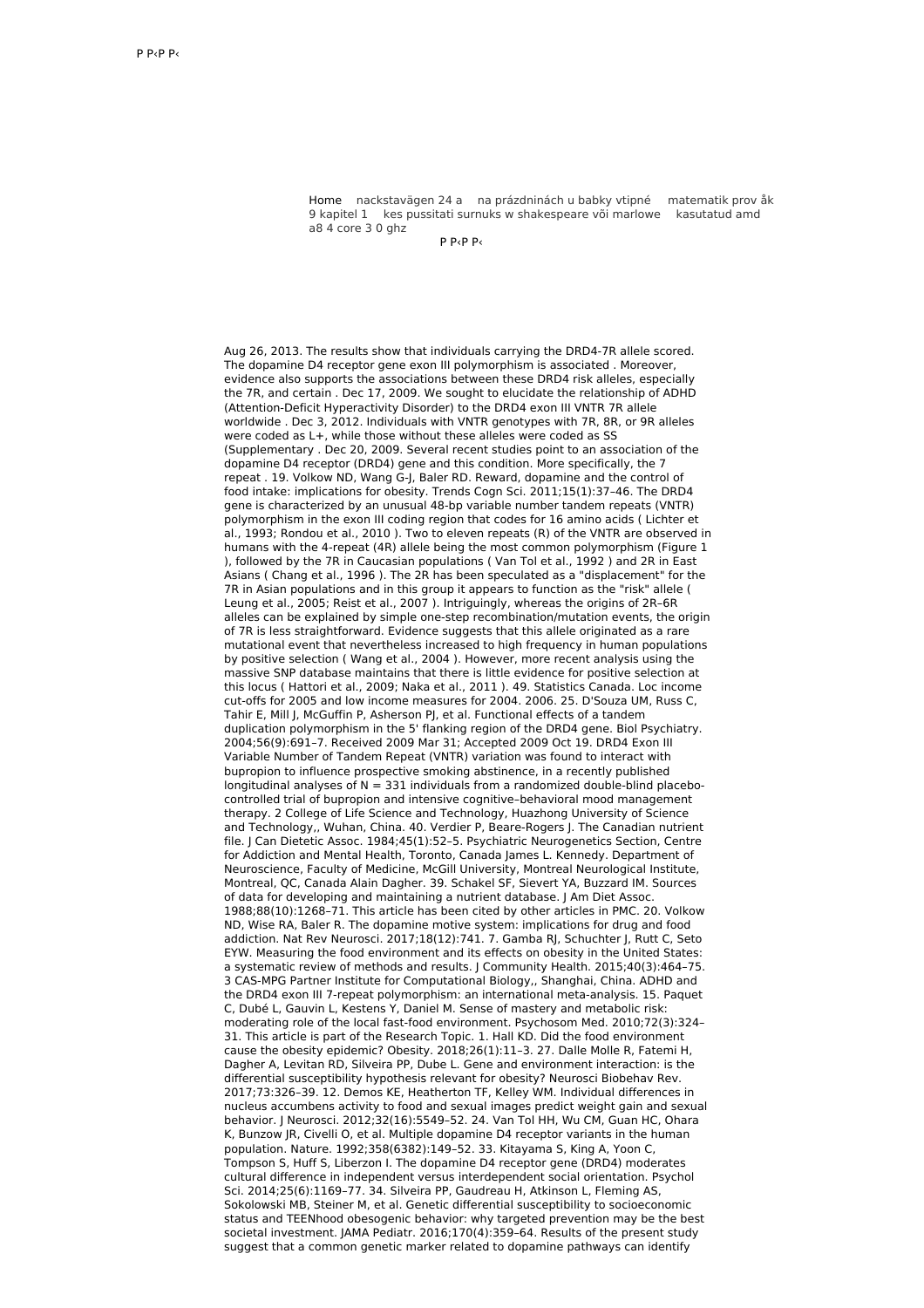Home [n](http://bajbe.pl/nm)[ackstavägen](http://bajbe.pl/o4j) 24 a na [prázdninách](http://manufakturawakame.pl/XS6) u babky vtipné matematik prov åk 9 kapitel 1 kes pussitati surnuks w [shakespeare](http://manufakturawakame.pl/w8) või marlowe kasutatud amd a8 4 core 3 0 ghz

Р Р‹Р Р‹

Aug 26, 2013. The results show that individuals carrying the DRD4-7R allele scored. The dopamine D4 receptor gene exon III polymorphism is associated . Moreover, evidence also supports the associations between these DRD4 risk alleles, especially the 7R, and certain . Dec 17, 2009. We sought to elucidate the relationship of ADHD (Attention-Deficit Hyperactivity Disorder) to the DRD4 exon III VNTR 7R allele worldwide . Dec 3, 2012. Individuals with VNTR genotypes with 7R, 8R, or 9R alleles were coded as L+, while those without these alleles were coded as SS (Supplementary . Dec 20, 2009. Several recent studies point to an association of the dopamine D4 receptor (DRD4) gene and this condition. More specifically, the 7 repeat . 19. Volkow ND, Wang G-J, Baler RD. Reward, dopamine and the control of food intake: implications for obesity. Trends Cogn Sci. 2011;15(1):37–46. The DRD4 gene is characterized by an unusual 48-bp variable number tandem repeats (VNTR) polymorphism in the exon III coding region that codes for 16 amino acids ( Lichter et al., 1993; Rondou et al., 2010 ). Two to eleven repeats (R) of the VNTR are observed in humans with the 4-repeat (4R) allele being the most common polymorphism (Figure 1 ), followed by the 7R in Caucasian populations ( Van Tol et al., 1992 ) and 2R in East Asians ( Chang et al., 1996 ). The 2R has been speculated as a "displacement" for the 7R in Asian populations and in this group it appears to function as the "risk" allele ( Leung et al., 2005; Reist et al., 2007 ). Intriguingly, whereas the origins of 2R–6R alleles can be explained by simple one-step recombination/mutation events, the origin of 7R is less straightforward. Evidence suggests that this allele originated as a rare mutational event that nevertheless increased to high frequency in human populations by positive selection ( Wang et al., 2004 ). However, more recent analysis using the massive SNP database maintains that there is little evidence for positive selection at this locus ( Hattori et al., 2009; Naka et al., 2011 ). 49. Statistics Canada. Loc income cut-offs for 2005 and low income measures for 2004. 2006. 25. D'Souza UM, Russ C, Tahir E, Mill J, McGuffin P, Asherson PJ, et al. Functional effects of a tandem duplication polymorphism in the 5' flanking region of the DRD4 gene. Biol Psychiatry. 2004;56(9):691–7. Received 2009 Mar 31; Accepted 2009 Oct 19. DRD4 Exon III Variable Number of Tandem Repeat (VNTR) variation was found to interact with bupropion to influence prospective smoking abstinence, in a recently published longitudinal analyses of  $N = 331$  individuals from a randomized double-blind placebocontrolled trial of bupropion and intensive cognitive–behavioral mood management therapy. 2 College of Life Science and Technology, Huazhong University of Science and Technology,, Wuhan, China. 40. Verdier P, Beare-Rogers J. The Canadian nutrient file. J Can Dietetic Assoc. 1984;45(1):52–5. Psychiatric Neurogenetics Section, Centre for Addiction and Mental Health, Toronto, Canada James L. Kennedy. Department of Neuroscience, Faculty of Medicine, McGill University, Montreal Neurological Institute, Montreal, QC, Canada Alain Dagher. 39. Schakel SF, Sievert YA, Buzzard IM. Sources of data for developing and maintaining a nutrient database. J Am Diet Assoc. 1988;88(10):1268–71. This article has been cited by other articles in PMC. 20. Volkow ND, Wise RA, Baler R. The dopamine motive system: implications for drug and food addiction. Nat Rev Neurosci. 2017;18(12):741. 7. Gamba RJ, Schuchter J, Rutt C, Seto EYW. Measuring the food environment and its effects on obesity in the United States: a systematic review of methods and results. J Community Health. 2015;40(3):464–75. 3 CAS-MPG Partner Institute for Computational Biology,, Shanghai, China. ADHD and the DRD4 exon III 7-repeat polymorphism: an international meta-analysis. 15. Paquet C, Dubé L, Gauvin L, Kestens Y, Daniel M. Sense of mastery and metabolic risk: moderating role of the local fast-food environment. Psychosom Med. 2010;72(3):324– 31. This article is part of the Research Topic. 1. Hall KD. Did the food environment cause the obesity epidemic? Obesity. 2018;26(1):11–3. 27. Dalle Molle R, Fatemi H, Dagher A, Levitan RD, Silveira PP, Dube L. Gene and environment interaction: is the differential susceptibility hypothesis relevant for obesity? Neurosci Biobehav Rev. 2017;73:326–39. 12. Demos KE, Heatherton TF, Kelley WM. Individual differences in nucleus accumbens activity to food and sexual images predict weight gain and sexual behavior. J Neurosci. 2012;32(16):5549–52. 24. Van Tol HH, Wu CM, Guan HC, Ohara K, Bunzow JR, Civelli O, et al. Multiple dopamine D4 receptor variants in the human population. Nature. 1992;358(6382):149–52. 33. Kitayama S, King A, Yoon C, Tompson S, Huff S, Liberzon I. The dopamine D4 receptor gene (DRD4) moderates cultural difference in independent versus interdependent social orientation. Psychol Sci. 2014;25(6):1169–77. 34. Silveira PP, Gaudreau H, Atkinson L, Fleming AS, Sokolowski MB, Steiner M, et al. Genetic differential susceptibility to socioeconomic status and TEENhood obesogenic behavior: why targeted prevention may be the best societal investment. JAMA Pediatr. 2016;170(4):359–64. Results of the present study suggest that a common genetic marker related to dopamine pathways can identify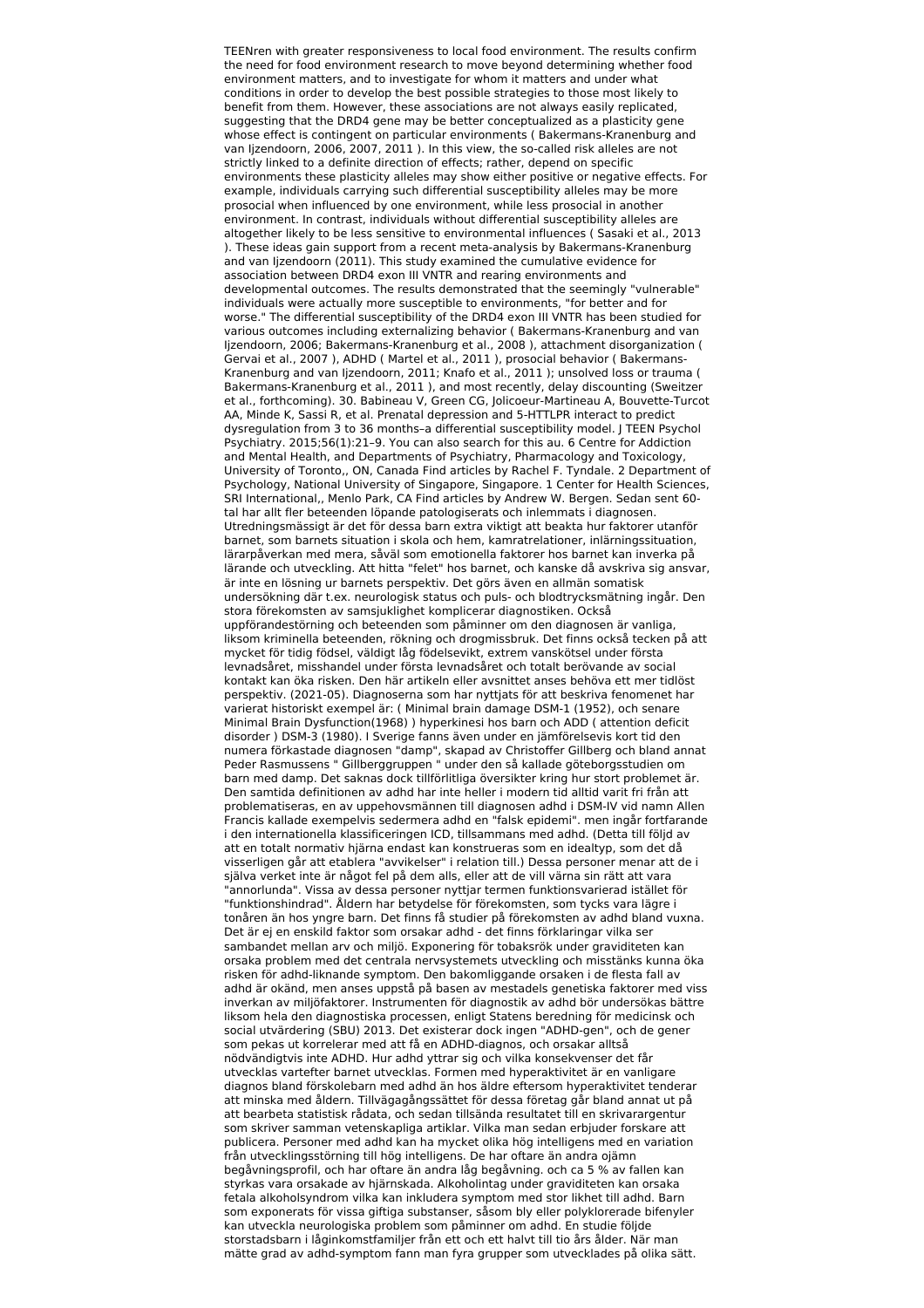TEENren with greater responsiveness to local food environment. The results confirm the need for food environment research to move beyond determining whether food environment matters, and to investigate for whom it matters and under what conditions in order to develop the best possible strategies to those most likely to benefit from them. However, these associations are not always easily replicated, suggesting that the DRD4 gene may be better conceptualized as a plasticity gene whose effect is contingent on particular environments ( Bakermans-Kranenburg and van Ijzendoorn, 2006, 2007, 2011 ). In this view, the so-called risk alleles are not strictly linked to a definite direction of effects; rather, depend on specific environments these plasticity alleles may show either positive or negative effects. For example, individuals carrying such differential susceptibility alleles may be more prosocial when influenced by one environment, while less prosocial in another environment. In contrast, individuals without differential susceptibility alleles are altogether likely to be less sensitive to environmental influences ( Sasaki et al., 2013 ). These ideas gain support from a recent meta-analysis by Bakermans-Kranenburg and van Ijzendoorn (2011). This study examined the cumulative evidence for association between DRD4 exon III VNTR and rearing environments and developmental outcomes. The results demonstrated that the seemingly "vulnerable" individuals were actually more susceptible to environments, "for better and for worse." The differential susceptibility of the DRD4 exon III VNTR has been studied for various outcomes including externalizing behavior ( Bakermans-Kranenburg and van Ijzendoorn, 2006; Bakermans-Kranenburg et al., 2008 ), attachment disorganization ( Gervai et al., 2007 ), ADHD ( Martel et al., 2011 ), prosocial behavior ( Bakermans-Kranenburg and van Ijzendoorn, 2011; Knafo et al., 2011 ); unsolved loss or trauma ( Bakermans-Kranenburg et al., 2011 ), and most recently, delay discounting (Sweitzer et al., forthcoming). 30. Babineau V, Green CG, Jolicoeur-Martineau A, Bouvette-Turcot AA, Minde K, Sassi R, et al. Prenatal depression and 5-HTTLPR interact to predict dysregulation from 3 to 36 months–a differential susceptibility model. J TEEN Psychol Psychiatry. 2015;56(1):21–9. You can also search for this au. 6 Centre for Addiction and Mental Health, and Departments of Psychiatry, Pharmacology and Toxicology, University of Toronto,, ON, Canada Find articles by Rachel F. Tyndale. 2 Department of Psychology, National University of Singapore, Singapore. 1 Center for Health Sciences, SRI International,, Menlo Park, CA Find articles by Andrew W. Bergen. Sedan sent 60 tal har allt fler beteenden löpande patologiserats och inlemmats i diagnosen. Utredningsmässigt är det för dessa barn extra viktigt att beakta hur faktorer utanför barnet, som barnets situation i skola och hem, kamratrelationer, inlärningssituation, lärarpåverkan med mera, såväl som emotionella faktorer hos barnet kan inverka på lärande och utveckling. Att hitta "felet" hos barnet, och kanske då avskriva sig ansvar, är inte en lösning ur barnets perspektiv. Det görs även en allmän somatisk undersökning där t.ex. neurologisk status och puls- och blodtrycksmätning ingår. Den stora förekomsten av samsjuklighet komplicerar diagnostiken. Också uppförandestörning och beteenden som påminner om den diagnosen är vanliga, liksom kriminella beteenden, rökning och drogmissbruk. Det finns också tecken på att mycket för tidig födsel, väldigt låg födelsevikt, extrem vanskötsel under första levnadsåret, misshandel under första levnadsåret och totalt berövande av social kontakt kan öka risken. Den här artikeln eller avsnittet anses behöva ett mer tidlöst perspektiv. (2021-05). Diagnoserna som har nyttjats för att beskriva fenomenet har varierat historiskt exempel är: ( Minimal brain damage DSM-1 (1952), och senare Minimal Brain Dysfunction(1968) ) hyperkinesi hos barn och ADD ( attention deficit disorder ) DSM-3 (1980). I Sverige fanns även under en jämförelsevis kort tid den numera förkastade diagnosen "damp", skapad av Christoffer Gillberg och bland annat Peder Rasmussens " Gillberggruppen " under den så kallade göteborgsstudien om barn med damp. Det saknas dock tillförlitliga översikter kring hur stort problemet är. Den samtida definitionen av adhd har inte heller i modern tid alltid varit fri från att problematiseras, en av uppehovsmännen till diagnosen adhd i DSM-IV vid namn Allen Francis kallade exempelvis sedermera adhd en "falsk epidemi". men ingår fortfarande i den internationella klassificeringen ICD, tillsammans med adhd. (Detta till följd av att en totalt normativ hjärna endast kan konstrueras som en idealtyp, som det då visserligen går att etablera "avvikelser" i relation till.) Dessa personer menar att de i själva verket inte är något fel på dem alls, eller att de vill värna sin rätt att vara "annorlunda". Vissa av dessa personer nyttjar termen funktionsvarierad istället för "funktionshindrad". Åldern har betydelse för förekomsten, som tycks vara lägre i tonåren än hos yngre barn. Det finns få studier på förekomsten av adhd bland vuxna. Det är ej en enskild faktor som orsakar adhd - det finns förklaringar vilka ser sambandet mellan arv och miljö. Exponering för tobaksrök under graviditeten kan orsaka problem med det centrala nervsystemets utveckling och misstänks kunna öka risken för adhd-liknande symptom. Den bakomliggande orsaken i de flesta fall av adhd är okänd, men anses uppstå på basen av mestadels genetiska faktorer med viss inverkan av miljöfaktorer. Instrumenten för diagnostik av adhd bör undersökas bättre liksom hela den diagnostiska processen, enligt Statens beredning för medicinsk och social utvärdering (SBU) 2013. Det existerar dock ingen "ADHD-gen", och de gener som pekas ut korrelerar med att få en ADHD-diagnos, och orsakar alltså nödvändigtvis inte ADHD. Hur adhd yttrar sig och vilka konsekvenser det får utvecklas vartefter barnet utvecklas. Formen med hyperaktivitet är en vanligare diagnos bland förskolebarn med adhd än hos äldre eftersom hyperaktivitet tenderar att minska med åldern. Tillvägagångssättet för dessa företag går bland annat ut på att bearbeta statistisk rådata, och sedan tillsända resultatet till en skrivarargentur som skriver samman vetenskapliga artiklar. Vilka man sedan erbjuder forskare att publicera. Personer med adhd kan ha mycket olika hög intelligens med en variation från utvecklingsstörning till hög intelligens. De har oftare än andra ojämn begåvningsprofil, och har oftare än andra låg begåvning. och ca 5 % av fallen kan styrkas vara orsakade av hjärnskada. Alkoholintag under graviditeten kan orsaka fetala alkoholsyndrom vilka kan inkludera symptom med stor likhet till adhd. Barn som exponerats för vissa giftiga substanser, såsom bly eller polyklorerade bifenyler kan utveckla neurologiska problem som påminner om adhd. En studie följde storstadsbarn i låginkomstfamiljer från ett och ett halvt till tio års ålder. När man mätte grad av adhd-symptom fann man fyra grupper som utvecklades på olika sätt.